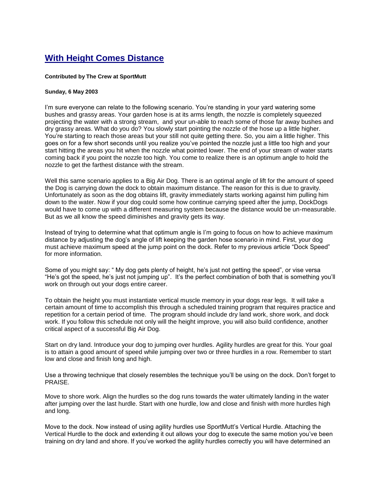## **With Height Comes Distance**

## **Contributed by The Crew at SportMutt**

## **Sunday, 6 May 2003**

I'm sure everyone can relate to the following scenario. You're standing in your yard watering some bushes and grassy areas. Your garden hose is at its arms length, the nozzle is completely squeezed projecting the water with a strong stream, and your un-able to reach some of those far away bushes and dry grassy areas. What do you do? You slowly start pointing the nozzle of the hose up a little higher. You're starting to reach those areas but your still not quite getting there. So, you aim a little higher. This goes on for a few short seconds until you realize you've pointed the nozzle just a little too high and your start hitting the areas you hit when the nozzle what pointed lower. The end of your stream of water starts coming back if you point the nozzle too high. You come to realize there is an optimum angle to hold the nozzle to get the farthest distance with the stream.

Well this same scenario applies to a Big Air Dog. There is an optimal angle of lift for the amount of speed the Dog is carrying down the dock to obtain maximum distance. The reason for this is due to gravity. Unfortunately as soon as the dog obtains lift, gravity immediately starts working against him pulling him down to the water. Now if your dog could some how continue carrying speed after the jump, DockDogs would have to come up with a different measuring system because the distance would be un-measurable. But as we all know the speed diminishes and gravity gets its way.

Instead of trying to determine what that optimum angle is I'm going to focus on how to achieve maximum distance by adjusting the dog's angle of lift keeping the garden hose scenario in mind. First, your dog must achieve maximum speed at the jump point on the dock. Refer to my previous article "Dock Speed" for more information.

Some of you might say: " My dog gets plenty of height, he's just not getting the speed", or vise versa "He's got the speed, he's just not jumping up". It's the perfect combination of both that is something you'll work on through out your dogs entire career.

To obtain the height you must instantiate vertical muscle memory in your dogs rear legs. It will take a certain amount of time to accomplish this through a scheduled training program that requires practice and repetition for a certain period of time. The program should include dry land work, shore work, and dock work. If you follow this schedule not only will the height improve, you will also build confidence, another critical aspect of a successful Big Air Dog.

Start on dry land. Introduce your dog to jumping over hurdles. Agility hurdles are great for this. Your goal is to attain a good amount of speed while jumping over two or three hurdles in a row. Remember to start low and close and finish long and high.

Use a throwing technique that closely resembles the technique you'll be using on the dock. Don't forget to PRAISE.

Move to shore work. Align the hurdles so the dog runs towards the water ultimately landing in the water after jumping over the last hurdle. Start with one hurdle, low and close and finish with more hurdles high and long.

Move to the dock. Now instead of using agility hurdles use SportMutt's Vertical Hurdle. Attaching the Vertical Hurdle to the dock and extending it out allows your dog to execute the same motion you've been training on dry land and shore. If you've worked the agility hurdles correctly you will have determined an